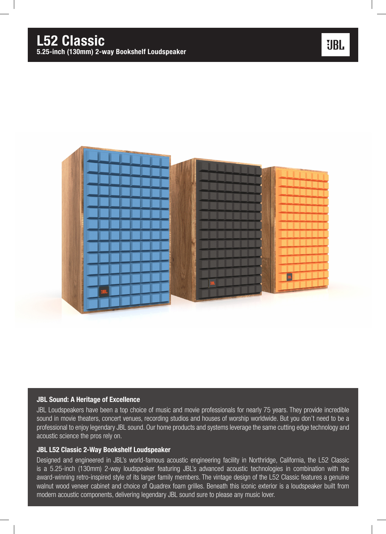

### JBL Sound: A Heritage of Excellence

JBL Loudspeakers have been a top choice of music and movie professionals for nearly 75 years. They provide incredible sound in movie theaters, concert venues, recording studios and houses of worship worldwide. But you don't need to be a professional to enjoy legendary JBL sound. Our home products and systems leverage the same cutting edge technology and acoustic science the pros rely on.

### JBL L52 Classic 2-Way Bookshelf Loudspeaker

Designed and engineered in JBL's world-famous acoustic engineering facility in Northridge, California, the L52 Classic is a 5.25-inch (130mm) 2-way loudspeaker featuring JBL's advanced acoustic technologies in combination with the award-winning retro-inspired style of its larger family members. The vintage design of the L52 Classic features a genuine walnut wood veneer cabinet and choice of Quadrex foam grilles. Beneath this iconic exterior is a loudspeaker built from modern acoustic components, delivering legendary JBL sound sure to please any music lover.

## **UBL**